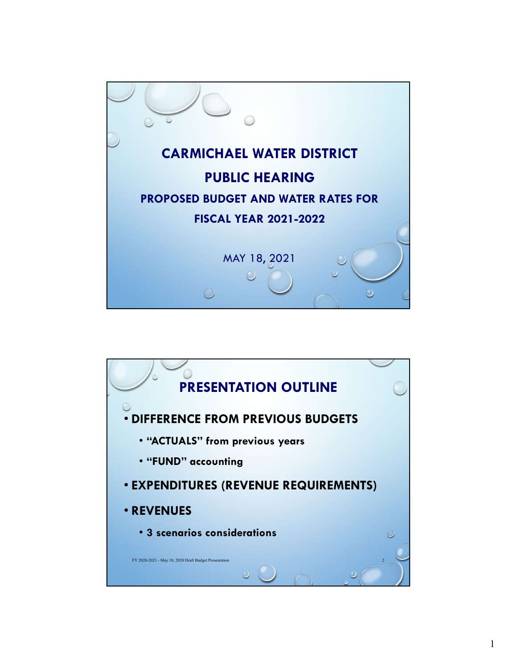

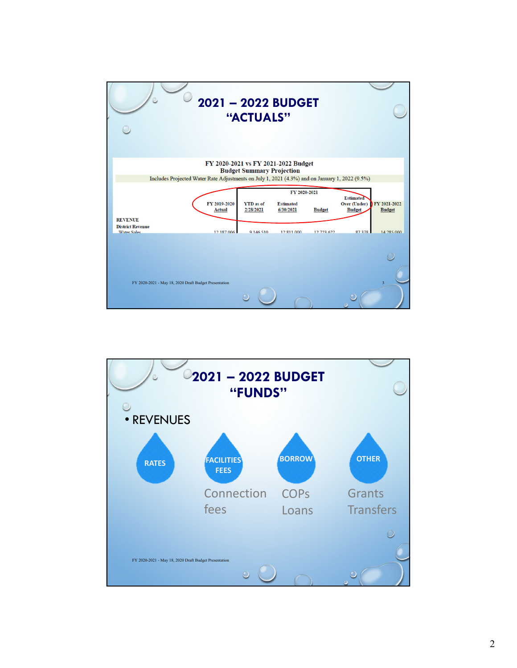| FY 2020-2021 vs FY 2021-2022 Budget<br><b>Budget Summary Projection</b><br>Includes Projected Water Rate Adjustments on July 1, 2021 (4.3%) and on January 1, 2022 (9.5%)<br>FY 2019-2020<br><b>YTD</b> as of<br><b>Estimated</b><br>2/28/2021<br>6/30/2021<br><b>Actual</b><br><b>REVENUE</b><br><b>District Revenue</b><br>12.187.006<br><b>Water Sales</b><br>9 146 510<br>12.811.000 | FY 2020-2021                                                              |                               |
|------------------------------------------------------------------------------------------------------------------------------------------------------------------------------------------------------------------------------------------------------------------------------------------------------------------------------------------------------------------------------------------|---------------------------------------------------------------------------|-------------------------------|
|                                                                                                                                                                                                                                                                                                                                                                                          |                                                                           |                               |
|                                                                                                                                                                                                                                                                                                                                                                                          |                                                                           |                               |
|                                                                                                                                                                                                                                                                                                                                                                                          | <b>Estimated</b><br><b>Over (Under)</b><br><b>Budget</b><br><b>Budget</b> | FY 2021-2022<br><b>Budget</b> |
|                                                                                                                                                                                                                                                                                                                                                                                          | 12,723,622<br>87378                                                       | 14.285,000                    |
| FY 2020-2021 - May 18, 2020 Draft Budget Presentation                                                                                                                                                                                                                                                                                                                                    |                                                                           | $\overline{3}$                |

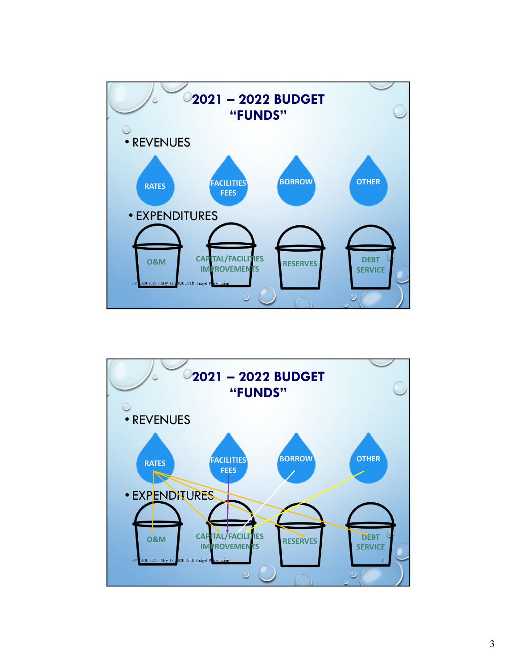

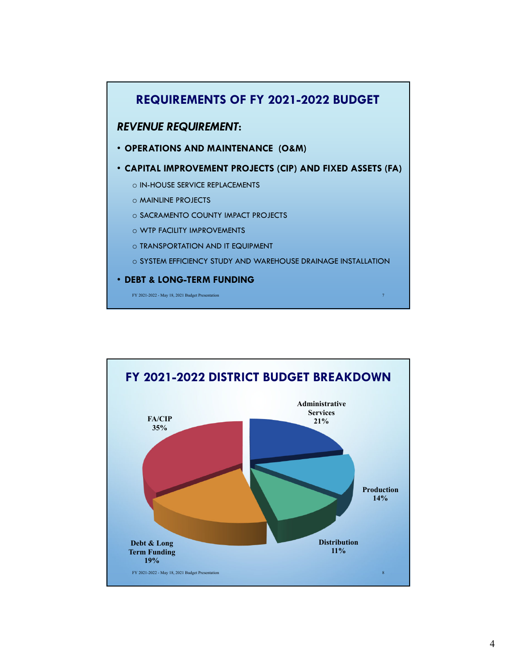

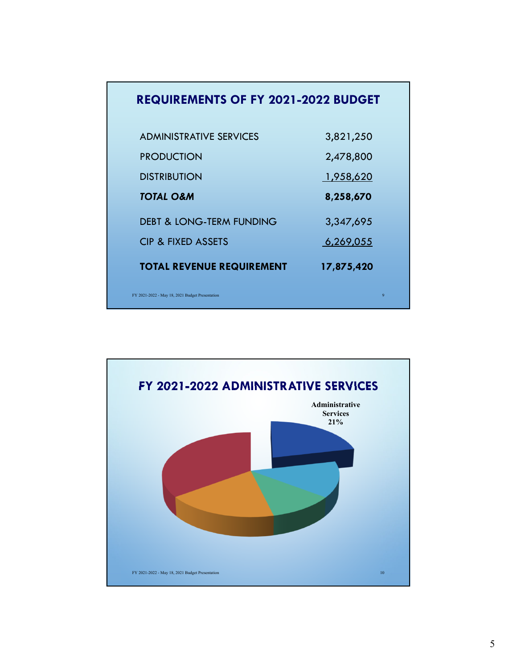| <b>REQUIREMENTS OF FY 2021-2022 BUDGET</b>      |            |
|-------------------------------------------------|------------|
| <b>ADMINISTRATIVE SERVICES</b>                  | 3,821,250  |
| <b>PRODUCTION</b>                               | 2,478,800  |
| <b>DISTRIBUTION</b>                             | 1,958,620  |
| <b>TOTAL O&amp;M</b>                            | 8,258,670  |
| <b>DEBT &amp; LONG-TERM FUNDING</b>             | 3,347,695  |
| <b>CIP &amp; FIXED ASSETS</b>                   | 6,269,055  |
| <b>TOTAL REVENUE REQUIREMENT</b>                | 17,875,420 |
| FY 2021-2022 - May 18, 2021 Budget Presentation | 9          |

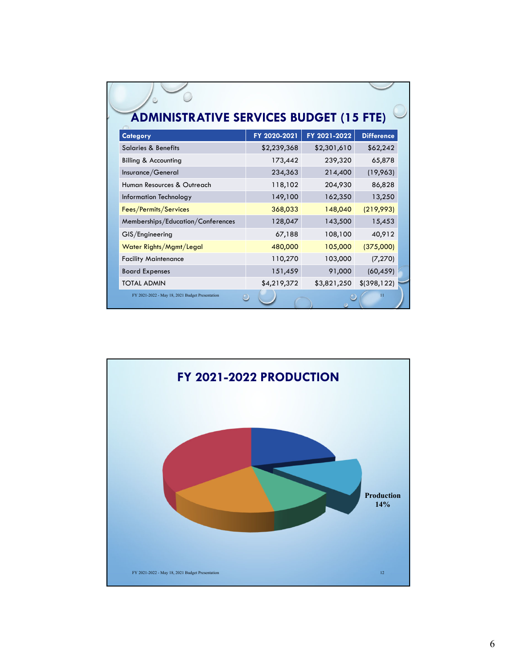| <b>ADMINISTRATIVE SERVICES BUDGET (15 FTE)</b><br><b>Category</b> | FY 2020-2021 | FY 2021-2022 | <b>Difference</b> |
|-------------------------------------------------------------------|--------------|--------------|-------------------|
| <b>Salaries &amp; Benefits</b>                                    | \$2,239,368  | \$2,301,610  | \$62,242          |
| <b>Billing &amp; Accounting</b>                                   | 173,442      | 239,320      | 65,878            |
| Insurance/General                                                 | 234,363      | 214,400      | (19,963)          |
| Human Resources & Outreach                                        | 118,102      | 204,930      | 86,828            |
| Information Technology                                            | 149,100      | 162,350      | 13,250            |
| Fees/Permits/Services                                             | 368,033      | 148,040      | (219,993)         |
| Memberships/Education/Conferences                                 | 128,047      | 143,500      | 15,453            |
| GIS/Engineering                                                   | 67,188       | 108,100      | 40,912            |
| Water Rights/Mgmt/Legal                                           | 480,000      | 105,000      | (375,000)         |
| <b>Facility Maintenance</b>                                       | 110,270      | 103,000      | (7, 270)          |
| <b>Board Expenses</b>                                             | 151,459      | 91,000       | (60, 459)         |
| <b>TOTAL ADMIN</b>                                                | \$4,219,372  | \$3,821,250  | \$(398, 122)      |
| FY 2021-2022 - May 18, 2021 Budget Presentation                   |              |              | $\overline{11}$   |

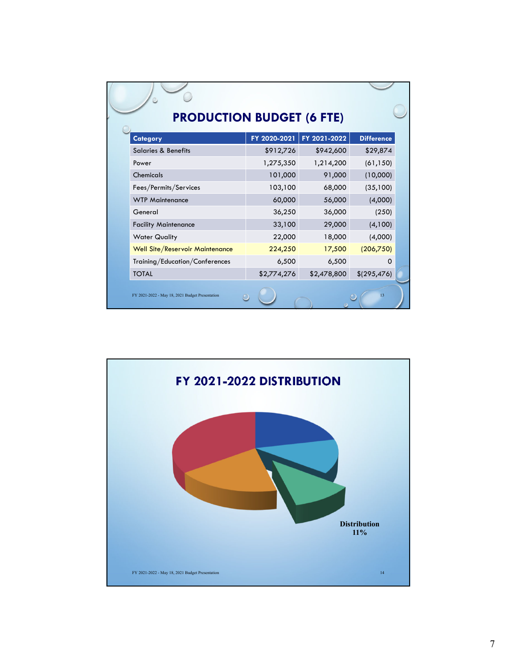|  | <b>Category</b>                                 | FY 2020-2021 | FY 2021-2022 | <b>Difference</b> |  |
|--|-------------------------------------------------|--------------|--------------|-------------------|--|
|  | <b>Salaries &amp; Benefits</b>                  | \$912,726    | \$942,600    | \$29,874          |  |
|  | Power                                           | 1,275,350    | 1,214,200    | (61, 150)         |  |
|  | Chemicals                                       | 101,000      | 91,000       | (10,000)          |  |
|  | Fees/Permits/Services                           | 103,100      | 68,000       | (35,100)          |  |
|  | <b>WTP Maintenance</b>                          | 60,000       | 56,000       | (4,000)           |  |
|  | General                                         | 36,250       | 36,000       | (250)             |  |
|  | <b>Facility Maintenance</b>                     | 33,100       | 29,000       | (4,100)           |  |
|  | <b>Water Quality</b>                            | 22,000       | 18,000       | (4,000)           |  |
|  | Well Site/Reservoir Maintenance                 | 224,250      | 17,500       | (206,750)         |  |
|  | Training/Education/Conferences                  | 6,500        | 6,500        | Ω                 |  |
|  | <b>TOTAL</b>                                    | \$2,774,276  | \$2,478,800  | \$(295, 476)      |  |
|  | FY 2021-2022 - May 18, 2021 Budget Presentation |              |              | 13                |  |

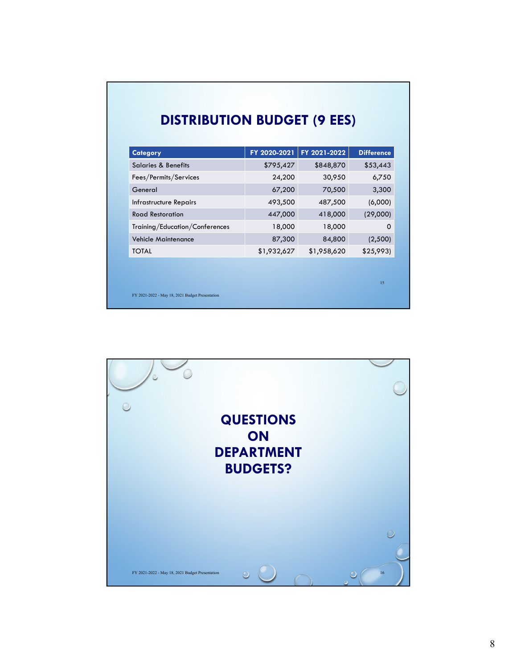## **DISTRIBUTION BUDGET (9 EES)**

| \$795,427   | \$848,870   | \$53,443 |
|-------------|-------------|----------|
| 24,200      | 30,950      | 6,750    |
| 67,200      | 70,500      | 3,300    |
| 493,500     | 487,500     | (6,000)  |
| 447,000     | 418,000     | (29,000) |
| 18,000      | 18,000      | 0        |
| 87,300      | 84,800      | (2,500)  |
| \$1,932,627 | \$1,958,620 | \$25,993 |
|             |             | 15       |
|             |             |          |

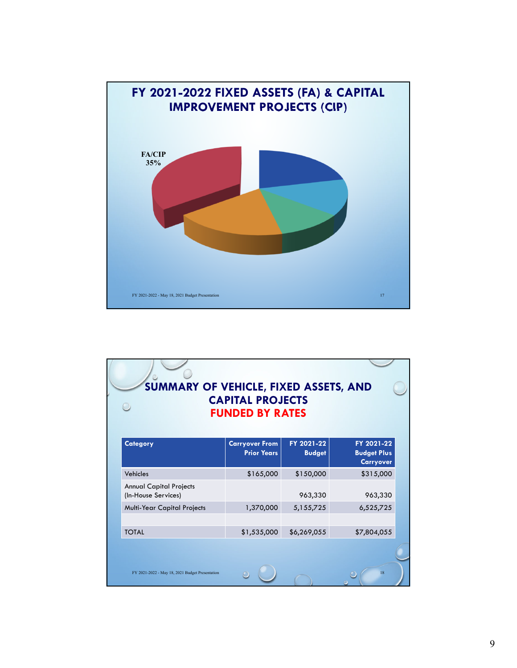

| SUMMARY OF VEHICLE, FIXED ASSETS, AND                 | <b>CAPITAL PROJECTS</b><br><b>FUNDED BY RATES</b> |                             |                                                      |
|-------------------------------------------------------|---------------------------------------------------|-----------------------------|------------------------------------------------------|
| <b>Category</b>                                       | <b>Carryover From</b><br><b>Prior Years</b>       | FY 2021-22<br><b>Budget</b> | FY 2021-22<br><b>Budget Plus</b><br><b>Carryover</b> |
| Vehicles                                              | \$165,000                                         | \$150,000                   | \$315,000                                            |
| <b>Annual Capital Projects</b><br>(In-House Services) |                                                   | 963,330                     | 963,330                                              |
| <b>Multi-Year Capital Projects</b>                    | 1,370,000                                         | 5,155,725                   | 6,525,725                                            |
|                                                       |                                                   |                             |                                                      |
| <b>TOTAL</b>                                          | \$1,535,000                                       | \$6,269,055                 | \$7,804,055                                          |
| FY 2021-2022 - May 18, 2021 Budget Presentation       |                                                   |                             | 18                                                   |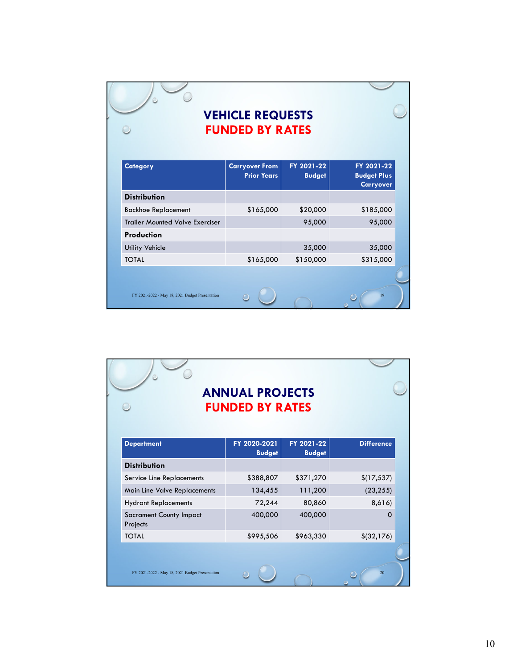## **VEHICLE REQUESTS FUNDED BY RATES**

 $\circ$ 

 $\overline{\ }$ 

 $\circ$ 

| <b>Category</b>                                 | <b>Carryover From</b><br><b>Prior Years</b> | FY 2021-22<br><b>Budget</b> | FY 2021-22<br><b>Budget Plus</b><br><b>Carryover</b> |
|-------------------------------------------------|---------------------------------------------|-----------------------------|------------------------------------------------------|
| <b>Distribution</b>                             |                                             |                             |                                                      |
| <b>Backhoe Replacement</b>                      | \$165,000                                   | \$20,000                    | \$185,000                                            |
| <b>Trailer Mounted Valve Exerciser</b>          |                                             | 95,000                      | 95,000                                               |
| Production                                      |                                             |                             |                                                      |
| <b>Utility Vehicle</b>                          |                                             | 35,000                      | 35,000                                               |
| <b>TOTAL</b>                                    | \$165,000                                   | \$150,000                   | \$315,000                                            |
|                                                 |                                             |                             |                                                      |
| FY 2021-2022 - May 18, 2021 Budget Presentation |                                             |                             | 19                                                   |

| <b>ANNUAL PROJECTS</b><br><b>FUNDED BY RATES</b> |                               |                             |                   |
|--------------------------------------------------|-------------------------------|-----------------------------|-------------------|
| <b>Department</b>                                | FY 2020-2021<br><b>Budget</b> | FY 2021-22<br><b>Budget</b> | <b>Difference</b> |
| <b>Distribution</b>                              |                               |                             |                   |
| Service Line Replacements                        | \$388,807                     | \$371,270                   | \$(17, 537)       |
| Main Line Valve Replacements                     | 134,455                       | 111,200                     | (23, 255)         |
| <b>Hydrant Replacements</b>                      | 72,244                        | 80,860                      | 8,616)            |
| <b>Sacrament County Impact</b><br>Projects       | 400,000                       | 400,000                     | $\Omega$          |
| <b>TOTAL</b>                                     | \$995,506                     | \$963,330                   | \$ (32, 176)      |
|                                                  |                               |                             |                   |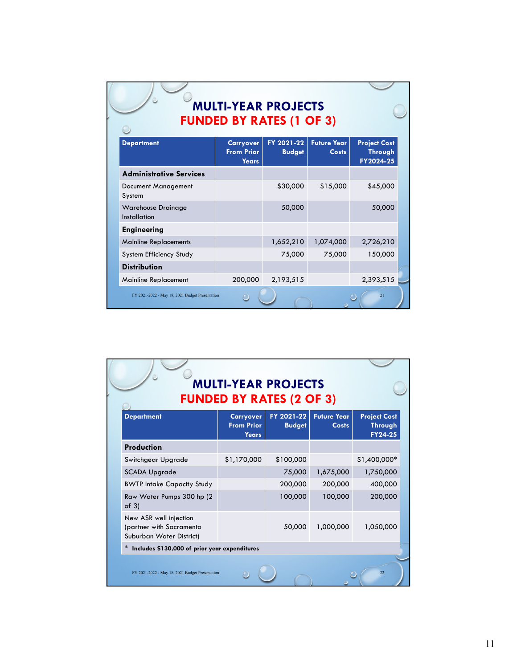| <b>MULTI-YEAR PROJECTS</b><br><b>FUNDED BY RATES (1 OF 3)</b> |                                                |                             |                                    |                                             |  |
|---------------------------------------------------------------|------------------------------------------------|-----------------------------|------------------------------------|---------------------------------------------|--|
| <b>Department</b>                                             | <b>Carryover</b><br><b>From Prior</b><br>Years | FY 2021-22<br><b>Budget</b> | <b>Future Year</b><br><b>Costs</b> | <b>Project Cost</b><br>Through<br>FY2024-25 |  |
| <b>Administrative Services</b>                                |                                                |                             |                                    |                                             |  |
| Document Management<br>System                                 |                                                | \$30,000                    | \$15,000                           | \$45,000                                    |  |
| <b>Warehouse Drainage</b><br>Installation                     |                                                | 50,000                      |                                    | 50,000                                      |  |
| <b>Engineering</b>                                            |                                                |                             |                                    |                                             |  |
| <b>Mainline Replacements</b>                                  |                                                | 1,652,210                   | 1,074,000                          | 2,726,210                                   |  |
| System Efficiency Study                                       |                                                | 75,000                      | 75,000                             | 150,000                                     |  |
| <b>Distribution</b>                                           |                                                |                             |                                    |                                             |  |
| <b>Mainline Replacement</b>                                   | 200,000                                        | 2,193,515                   |                                    | 2,393,515                                   |  |
| FY 2021-2022 - May 18, 2021 Budget Presentation               |                                                |                             |                                    | 21                                          |  |

| <b>MULTI-YEAR PROJECTS</b><br><b>FUNDED BY RATES (2 OF 3)</b>                  |                                                       |                             |                                    |                                           |  |
|--------------------------------------------------------------------------------|-------------------------------------------------------|-----------------------------|------------------------------------|-------------------------------------------|--|
| <b>Department</b>                                                              | <b>Carryover</b><br><b>From Prior</b><br><b>Years</b> | FY 2021-22<br><b>Budget</b> | <b>Future Year</b><br><b>Costs</b> | <b>Project Cost</b><br>Through<br>FY24-25 |  |
| Production                                                                     |                                                       |                             |                                    |                                           |  |
| Switchgear Upgrade                                                             | \$1,170,000                                           | \$100,000                   |                                    | \$1,400,000*                              |  |
| <b>SCADA Upgrade</b>                                                           |                                                       | 75,000                      | 1,675,000                          | 1,750,000                                 |  |
| <b>BWTP Intake Capacity Study</b>                                              |                                                       | 200,000                     | 200,000                            | 400,000                                   |  |
| Raw Water Pumps 300 hp (2)<br>of $3)$                                          |                                                       | 100,000                     | 100,000                            | 200,000                                   |  |
| New ASR well injection<br>(partner with Sacramento<br>Suburban Water District) |                                                       | 50,000                      | 1,000,000                          | 1,050,000                                 |  |
| $\ast$<br>Includes \$130,000 of prior year expenditures                        |                                                       |                             |                                    |                                           |  |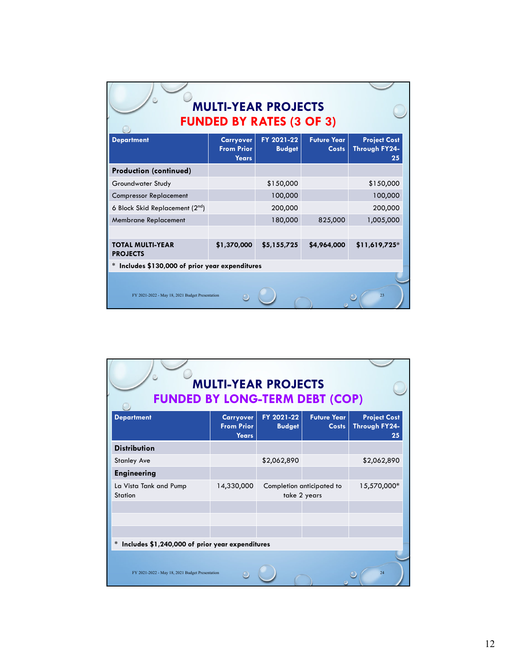| <b>MULTI-YEAR PROJECTS</b><br><b>FUNDED BY RATES (3 OF 3)</b> |                                                       |                             |                                    |                                            |  |  |
|---------------------------------------------------------------|-------------------------------------------------------|-----------------------------|------------------------------------|--------------------------------------------|--|--|
| <b>Department</b>                                             | <b>Carryover</b><br><b>From Prior</b><br><b>Years</b> | FY 2021-22<br><b>Budget</b> | <b>Future Year</b><br><b>Costs</b> | <b>Project Cost</b><br>Through FY24-<br>25 |  |  |
| <b>Production (continued)</b>                                 |                                                       |                             |                                    |                                            |  |  |
| Groundwater Study                                             |                                                       | \$150,000                   |                                    | \$150,000                                  |  |  |
| <b>Compressor Replacement</b>                                 |                                                       | 100,000                     |                                    | 100,000                                    |  |  |
| 6 Block Skid Replacement (2nd)                                |                                                       | 200,000                     |                                    | 200,000                                    |  |  |
| <b>Membrane Replacement</b>                                   |                                                       | 180,000                     | 825,000                            | 1,005,000                                  |  |  |
| <b>TOTAL MULTI-YEAR</b><br><b>PROJECTS</b>                    | \$1,370,000                                           | \$5,155,725                 | \$4,964,000                        | $$11,619,725*$                             |  |  |
| Includes \$130,000 of prior year expenditures                 |                                                       |                             |                                    |                                            |  |  |
| FY 2021-2022 - May 18, 2021 Budget Presentation               |                                                       |                             |                                    | 23                                         |  |  |

| <b>MULTI-YEAR PROJECTS</b><br><b>FUNDED BY LONG-TERM DEBT (COP)</b> |                                                       |                             |                                           |                                            |  |  |
|---------------------------------------------------------------------|-------------------------------------------------------|-----------------------------|-------------------------------------------|--------------------------------------------|--|--|
| <b>Department</b>                                                   | <b>Carryover</b><br><b>From Prior</b><br><b>Years</b> | FY 2021-22<br><b>Budget</b> | <b>Future Year</b><br><b>Costs</b>        | <b>Project Cost</b><br>Through FY24-<br>25 |  |  |
| <b>Distribution</b>                                                 |                                                       |                             |                                           |                                            |  |  |
| <b>Stanley Ave</b>                                                  |                                                       | \$2,062,890                 |                                           | \$2,062,890                                |  |  |
| <b>Engineering</b>                                                  |                                                       |                             |                                           |                                            |  |  |
| La Vista Tank and Pump<br>Station                                   | 14,330,000                                            |                             | Completion anticipated to<br>take 2 years | 15,570,000*                                |  |  |
|                                                                     |                                                       |                             |                                           |                                            |  |  |
|                                                                     |                                                       |                             |                                           |                                            |  |  |
|                                                                     |                                                       |                             |                                           |                                            |  |  |
| Includes \$1,240,000 of prior year expenditures<br>$\ast$           |                                                       |                             |                                           |                                            |  |  |
| FY 2021-2022 - May 18, 2021 Budget Presentation                     |                                                       |                             |                                           | 24                                         |  |  |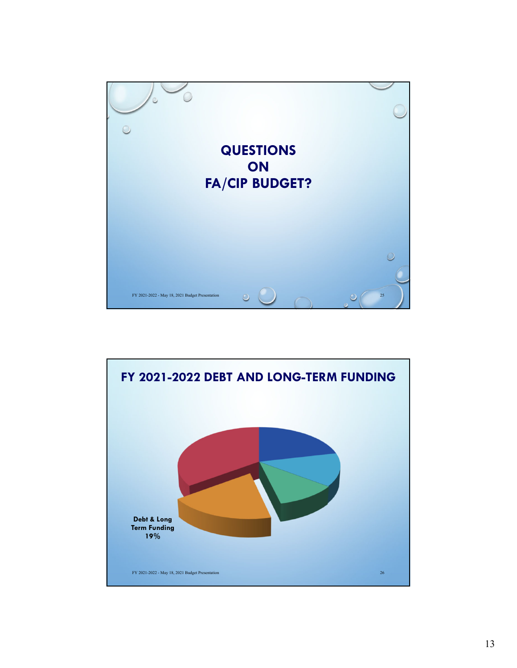

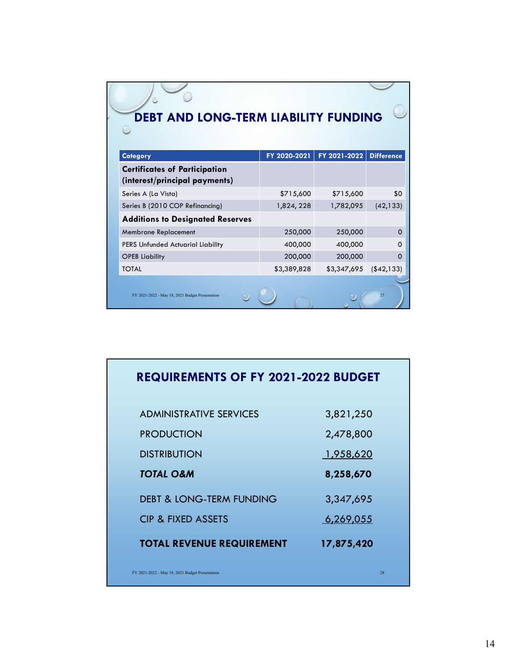| <b>DEBT AND LONG-TERM LIABILITY FUNDING</b>                           |              |              |                   |
|-----------------------------------------------------------------------|--------------|--------------|-------------------|
| <b>Category</b>                                                       | FY 2020-2021 | FY 2021-2022 | <b>Difference</b> |
| <b>Certificates of Participation</b><br>(interest/principal payments) |              |              |                   |
| Series A (La Vista)                                                   | \$715,600    | \$715,600    | \$0               |
| Series B (2010 COP Refinancing)                                       | 1,824, 228   | 1,782,095    | (42, 133)         |
| <b>Additions to Designated Reserves</b>                               |              |              |                   |
| <b>Membrane Replacement</b>                                           | 250,000      | 250,000      | 0                 |
| PERS Unfunded Actuarial Liability                                     | 400,000      | 400,000      | 0                 |
| <b>OPEB Liability</b>                                                 | 200,000      | 200,000      | ი                 |
| <b>TOTAL</b>                                                          | \$3,389,828  | \$3,347,695  | ( \$42, 133)      |
| FY 2021-2022 - May 18, 2021 Budget Presentation                       |              |              | 27                |

| <b>REQUIREMENTS OF FY 2021-2022 BUDGET</b>      |            |
|-------------------------------------------------|------------|
| <b>ADMINISTRATIVE SERVICES</b>                  | 3,821,250  |
| <b>PRODUCTION</b>                               | 2,478,800  |
| <b>DISTRIBUTION</b>                             | 1,958,620  |
| TOTAL O&M                                       | 8,258,670  |
| <b>DEBT &amp; LONG-TERM FUNDING</b>             | 3,347,695  |
| <b>CIP &amp; FIXED ASSETS</b>                   | 6,269,055  |
| <b>TOTAL REVENUE REQUIREMENT</b>                | 17,875,420 |
| FY 2021-2022 - May 18, 2021 Budget Presentation | 28         |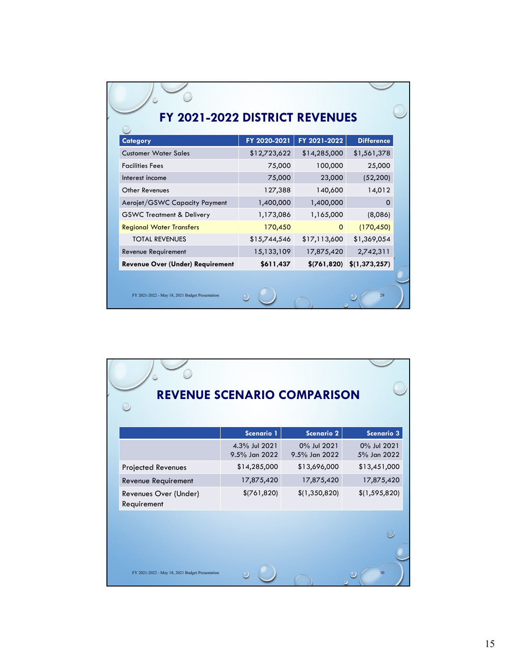| FY 2021-2022 DISTRICT REVENUES                  |              |              |                   |  |
|-------------------------------------------------|--------------|--------------|-------------------|--|
| Category                                        | FY 2020-2021 | FY 2021-2022 | <b>Difference</b> |  |
| <b>Customer Water Sales</b>                     | \$12,723,622 | \$14,285,000 | \$1,561,378       |  |
| <b>Facilities Fees</b>                          | 75,000       | 100,000      | 25,000            |  |
| Interest income                                 | 75,000       | 23,000       | (52, 200)         |  |
| Other Revenues                                  | 127,388      | 140,600      | 14,012            |  |
| Aerojet/GSWC Capacity Payment                   | 1,400,000    | 1,400,000    | 0                 |  |
| <b>GSWC Treatment &amp; Delivery</b>            | 1,173,086    | 1,165,000    | (8,086)           |  |
| <b>Regional Water Transfers</b>                 | 170,450      | $\Omega$     | (170, 450)        |  |
| <b>TOTAL REVENUES</b>                           | \$15,744,546 | \$17,113,600 | \$1,369,054       |  |
| Revenue Requirement                             | 15,133,109   | 17,875,420   | 2,742,311         |  |
| Revenue Over (Under) Requirement                | \$611,437    | \$(761, 820) | \$(1,373,257)     |  |
|                                                 |              |              |                   |  |
| FY 2021-2022 - May 18, 2021 Budget Presentation |              |              | 29                |  |

| <b>REVENUE SCENARIO COMPARISON</b>              |                                |                              |                            |
|-------------------------------------------------|--------------------------------|------------------------------|----------------------------|
|                                                 | Scenario 1                     | Scenario 2                   | Scenario 3                 |
|                                                 | 4.3% Jul 2021<br>9.5% Jan 2022 | 0% Jul 2021<br>9.5% Jan 2022 | 0% Jul 2021<br>5% Jan 2022 |
| Projected Revenues                              | \$14,285,000                   | \$13,696,000                 | \$13,451,000               |
| Revenue Requirement                             | 17,875,420                     | 17,875,420                   | 17,875,420                 |
| Revenues Over (Under)<br>Requirement            | \$(761, 820)                   | \$(1,350,820)                | \$(1, 595, 820)            |
| FY 2021-2022 - May 18, 2021 Budget Presentation |                                |                              | 30                         |